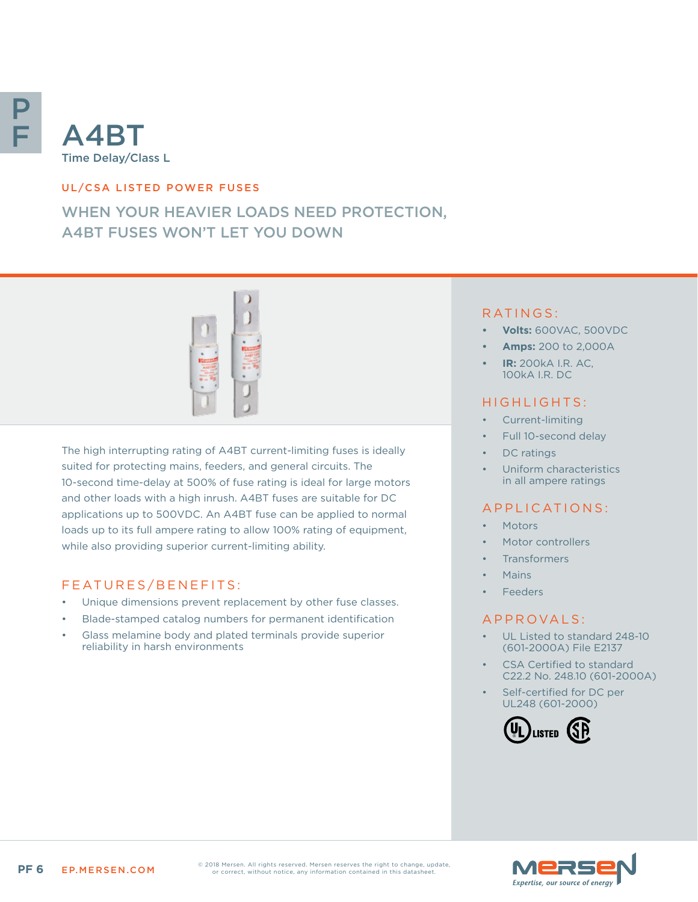

#### UL/CSA LISTED POWER FUSES

# WHEN YOUR HEAVIER LOADS NEED PROTECTION, A4BT FUSES WON'T LET YOU DOWN



The high interrupting rating of A4BT current-limiting fuses is ideally suited for protecting mains, feeders, and general circuits. The 10-second time-delay at 500% of fuse rating is ideal for large motors and other loads with a high inrush. A4BT fuses are suitable for DC applications up to 500VDC. An A4BT fuse can be applied to normal loads up to its full ampere rating to allow 100% rating of equipment, while also providing superior current-limiting ability.

### FEATURES/BENEFITS:

- Unique dimensions prevent replacement by other fuse classes.
- Blade-stamped catalog numbers for permanent identification
- Glass melamine body and plated terminals provide superior reliability in harsh environments

#### RATINGS:

- **• Volts:** 600VAC, 500VDC
- **• Amps:** 200 to 2,000A
- **• IR:** 200kA I.R. AC, 100kA I.R. DC

#### HIGHLIGHTS:

- Current-limiting
- Full 10-second delay
- DC ratings
- Uniform characteristics in all ampere ratings

#### APPLICATIONS:

- **Motors**
- Motor controllers
- **Transformers**
- Mains
- **Feeders**

#### A P P R O V A L S :

- UL Listed to standard 248-10 (601-2000A) File E2137
- CSA Certified to standard C22.2 No. 248.10 (601-2000A)
- Self-certified for DC per UL248 (601-2000)